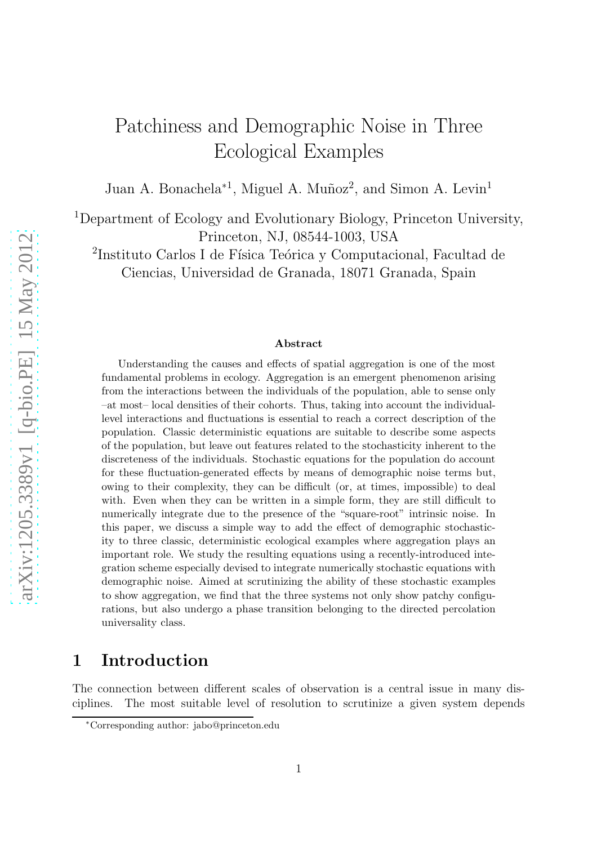# Patchiness and Demographic Noise in Three Ecological Examples

Juan A. Bonachela<sup>\*1</sup>, Miguel A. Muñoz<sup>2</sup>, and Simon A. Levin<sup>1</sup>

<sup>1</sup>Department of Ecology and Evolutionary Biology, Princeton University, Princeton, NJ, 08544-1003, USA

<sup>2</sup>Instituto Carlos I de Física Teórica y Computacional, Facultad de Ciencias, Universidad de Granada, 18071 Granada, Spain

#### Abstract

Understanding the causes and effects of spatial aggregation is one of the most fundamental problems in ecology. Aggregation is an emergent phenomenon arising from the interactions between the individuals of the population, able to sense only –at most– local densities of their cohorts. Thus, taking into account the individuallevel interactions and fluctuations is essential to reach a correct description of the population. Classic deterministic equations are suitable to describe some aspects of the population, but leave out features related to the stochasticity inherent to the discreteness of the individuals. Stochastic equations for the population do account for these fluctuation-generated effects by means of demographic noise terms but, owing to their complexity, they can be difficult (or, at times, impossible) to deal with. Even when they can be written in a simple form, they are still difficult to numerically integrate due to the presence of the "square-root" intrinsic noise. In this paper, we discuss a simple way to add the effect of demographic stochasticity to three classic, deterministic ecological examples where aggregation plays an important role. We study the resulting equations using a recently-introduced integration scheme especially devised to integrate numerically stochastic equations with demographic noise. Aimed at scrutinizing the ability of these stochastic examples to show aggregation, we find that the three systems not only show patchy configurations, but also undergo a phase transition belonging to the directed percolation universality class.

#### 1 Introduction

The connection between different scales of observation is a central issue in many disciplines. The most suitable level of resolution to scrutinize a given system depends

<sup>∗</sup>Corresponding author: jabo@princeton.edu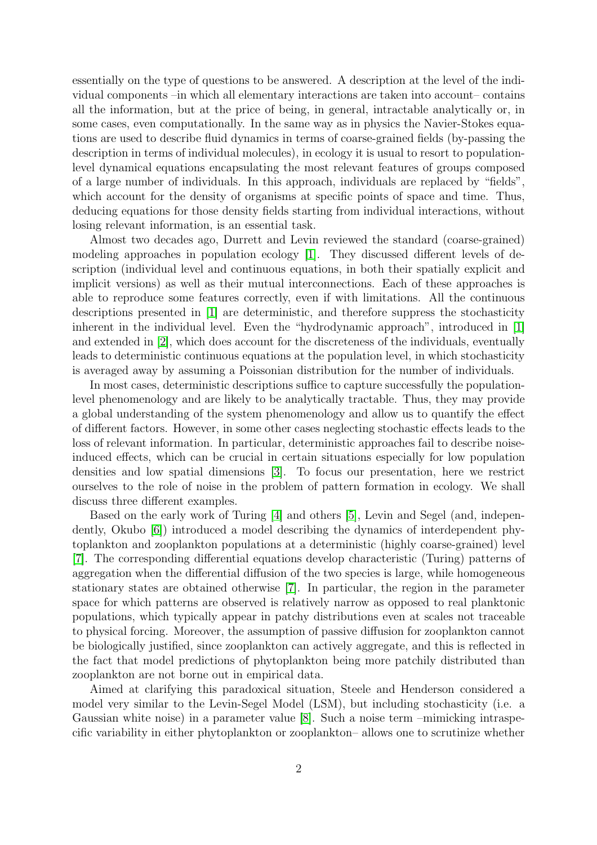essentially on the type of questions to be answered. A description at the level of the individual components –in which all elementary interactions are taken into account– contains all the information, but at the price of being, in general, intractable analytically or, in some cases, even computationally. In the same way as in physics the Navier-Stokes equations are used to describe fluid dynamics in terms of coarse-grained fields (by-passing the description in terms of individual molecules), in ecology it is usual to resort to populationlevel dynamical equations encapsulating the most relevant features of groups composed of a large number of individuals. In this approach, individuals are replaced by "fields", which account for the density of organisms at specific points of space and time. Thus, deducing equations for those density fields starting from individual interactions, without losing relevant information, is an essential task.

Almost two decades ago, Durrett and Levin reviewed the standard (coarse-grained) modeling approaches in population ecology [\[1\]](#page-15-0). They discussed different levels of description (individual level and continuous equations, in both their spatially explicit and implicit versions) as well as their mutual interconnections. Each of these approaches is able to reproduce some features correctly, even if with limitations. All the continuous descriptions presented in [\[1\]](#page-15-0) are deterministic, and therefore suppress the stochasticity inherent in the individual level. Even the "hydrodynamic approach", introduced in [\[1\]](#page-15-0) and extended in [\[2\]](#page-16-0), which does account for the discreteness of the individuals, eventually leads to deterministic continuous equations at the population level, in which stochasticity is averaged away by assuming a Poissonian distribution for the number of individuals.

In most cases, deterministic descriptions suffice to capture successfully the populationlevel phenomenology and are likely to be analytically tractable. Thus, they may provide a global understanding of the system phenomenology and allow us to quantify the effect of different factors. However, in some other cases neglecting stochastic effects leads to the loss of relevant information. In particular, deterministic approaches fail to describe noiseinduced effects, which can be crucial in certain situations especially for low population densities and low spatial dimensions [\[3\]](#page-16-1). To focus our presentation, here we restrict ourselves to the role of noise in the problem of pattern formation in ecology. We shall discuss three different examples.

Based on the early work of Turing [\[4\]](#page-16-2) and others [\[5\]](#page-16-3), Levin and Segel (and, independently, Okubo [\[6\]](#page-16-4)) introduced a model describing the dynamics of interdependent phytoplankton and zooplankton populations at a deterministic (highly coarse-grained) level [\[7\]](#page-16-5). The corresponding differential equations develop characteristic (Turing) patterns of aggregation when the differential diffusion of the two species is large, while homogeneous stationary states are obtained otherwise [\[7\]](#page-16-5). In particular, the region in the parameter space for which patterns are observed is relatively narrow as opposed to real planktonic populations, which typically appear in patchy distributions even at scales not traceable to physical forcing. Moreover, the assumption of passive diffusion for zooplankton cannot be biologically justified, since zooplankton can actively aggregate, and this is reflected in the fact that model predictions of phytoplankton being more patchily distributed than zooplankton are not borne out in empirical data.

Aimed at clarifying this paradoxical situation, Steele and Henderson considered a model very similar to the Levin-Segel Model (LSM), but including stochasticity (i.e. a Gaussian white noise) in a parameter value [\[8\]](#page-16-6). Such a noise term –mimicking intraspecific variability in either phytoplankton or zooplankton– allows one to scrutinize whether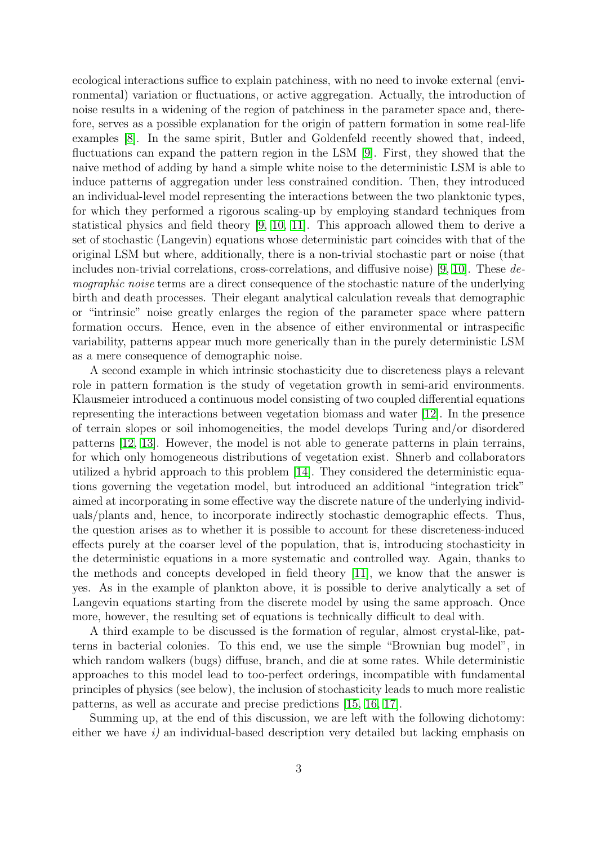ecological interactions suffice to explain patchiness, with no need to invoke external (environmental) variation or fluctuations, or active aggregation. Actually, the introduction of noise results in a widening of the region of patchiness in the parameter space and, therefore, serves as a possible explanation for the origin of pattern formation in some real-life examples [\[8\]](#page-16-6). In the same spirit, Butler and Goldenfeld recently showed that, indeed, fluctuations can expand the pattern region in the LSM [\[9\]](#page-16-7). First, they showed that the naive method of adding by hand a simple white noise to the deterministic LSM is able to induce patterns of aggregation under less constrained condition. Then, they introduced an individual-level model representing the interactions between the two planktonic types, for which they performed a rigorous scaling-up by employing standard techniques from statistical physics and field theory [\[9,](#page-16-7) [10,](#page-16-8) [11\]](#page-16-9). This approach allowed them to derive a set of stochastic (Langevin) equations whose deterministic part coincides with that of the original LSM but where, additionally, there is a non-trivial stochastic part or noise (that includes non-trivial correlations, cross-correlations, and diffusive noise) [\[9,](#page-16-7) [10\]](#page-16-8). These demographic noise terms are a direct consequence of the stochastic nature of the underlying birth and death processes. Their elegant analytical calculation reveals that demographic or "intrinsic" noise greatly enlarges the region of the parameter space where pattern formation occurs. Hence, even in the absence of either environmental or intraspecific variability, patterns appear much more generically than in the purely deterministic LSM as a mere consequence of demographic noise.

A second example in which intrinsic stochasticity due to discreteness plays a relevant role in pattern formation is the study of vegetation growth in semi-arid environments. Klausmeier introduced a continuous model consisting of two coupled differential equations representing the interactions between vegetation biomass and water [\[12\]](#page-16-10). In the presence of terrain slopes or soil inhomogeneities, the model develops Turing and/or disordered patterns [\[12,](#page-16-10) [13\]](#page-16-11). However, the model is not able to generate patterns in plain terrains, for which only homogeneous distributions of vegetation exist. Shnerb and collaborators utilized a hybrid approach to this problem [\[14\]](#page-16-12). They considered the deterministic equations governing the vegetation model, but introduced an additional "integration trick" aimed at incorporating in some effective way the discrete nature of the underlying individuals/plants and, hence, to incorporate indirectly stochastic demographic effects. Thus, the question arises as to whether it is possible to account for these discreteness-induced effects purely at the coarser level of the population, that is, introducing stochasticity in the deterministic equations in a more systematic and controlled way. Again, thanks to the methods and concepts developed in field theory [\[11\]](#page-16-9), we know that the answer is yes. As in the example of plankton above, it is possible to derive analytically a set of Langevin equations starting from the discrete model by using the same approach. Once more, however, the resulting set of equations is technically difficult to deal with.

A third example to be discussed is the formation of regular, almost crystal-like, patterns in bacterial colonies. To this end, we use the simple "Brownian bug model", in which random walkers (bugs) diffuse, branch, and die at some rates. While deterministic approaches to this model lead to too-perfect orderings, incompatible with fundamental principles of physics (see below), the inclusion of stochasticity leads to much more realistic patterns, as well as accurate and precise predictions [\[15,](#page-16-13) [16,](#page-17-0) [17\]](#page-17-1).

Summing up, at the end of this discussion, we are left with the following dichotomy: either we have  $i$  an individual-based description very detailed but lacking emphasis on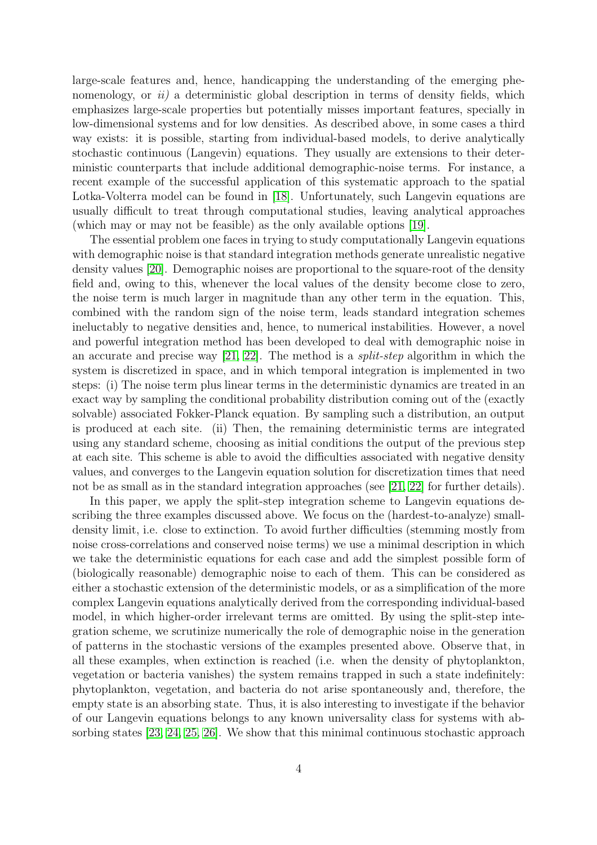large-scale features and, hence, handicapping the understanding of the emerging phenomenology, or  $ii$ ) a deterministic global description in terms of density fields, which emphasizes large-scale properties but potentially misses important features, specially in low-dimensional systems and for low densities. As described above, in some cases a third way exists: it is possible, starting from individual-based models, to derive analytically stochastic continuous (Langevin) equations. They usually are extensions to their deterministic counterparts that include additional demographic-noise terms. For instance, a recent example of the successful application of this systematic approach to the spatial Lotka-Volterra model can be found in [\[18\]](#page-17-2). Unfortunately, such Langevin equations are usually difficult to treat through computational studies, leaving analytical approaches (which may or may not be feasible) as the only available options [\[19\]](#page-17-3).

The essential problem one faces in trying to study computationally Langevin equations with demographic noise is that standard integration methods generate unrealistic negative density values [\[20\]](#page-17-4). Demographic noises are proportional to the square-root of the density field and, owing to this, whenever the local values of the density become close to zero, the noise term is much larger in magnitude than any other term in the equation. This, combined with the random sign of the noise term, leads standard integration schemes ineluctably to negative densities and, hence, to numerical instabilities. However, a novel and powerful integration method has been developed to deal with demographic noise in an accurate and precise way [\[21,](#page-17-5) [22\]](#page-17-6). The method is a split-step algorithm in which the system is discretized in space, and in which temporal integration is implemented in two steps: (i) The noise term plus linear terms in the deterministic dynamics are treated in an exact way by sampling the conditional probability distribution coming out of the (exactly solvable) associated Fokker-Planck equation. By sampling such a distribution, an output is produced at each site. (ii) Then, the remaining deterministic terms are integrated using any standard scheme, choosing as initial conditions the output of the previous step at each site. This scheme is able to avoid the difficulties associated with negative density values, and converges to the Langevin equation solution for discretization times that need not be as small as in the standard integration approaches (see [\[21,](#page-17-5) [22\]](#page-17-6) for further details).

In this paper, we apply the split-step integration scheme to Langevin equations describing the three examples discussed above. We focus on the (hardest-to-analyze) smalldensity limit, i.e. close to extinction. To avoid further difficulties (stemming mostly from noise cross-correlations and conserved noise terms) we use a minimal description in which we take the deterministic equations for each case and add the simplest possible form of (biologically reasonable) demographic noise to each of them. This can be considered as either a stochastic extension of the deterministic models, or as a simplification of the more complex Langevin equations analytically derived from the corresponding individual-based model, in which higher-order irrelevant terms are omitted. By using the split-step integration scheme, we scrutinize numerically the role of demographic noise in the generation of patterns in the stochastic versions of the examples presented above. Observe that, in all these examples, when extinction is reached (i.e. when the density of phytoplankton, vegetation or bacteria vanishes) the system remains trapped in such a state indefinitely: phytoplankton, vegetation, and bacteria do not arise spontaneously and, therefore, the empty state is an absorbing state. Thus, it is also interesting to investigate if the behavior of our Langevin equations belongs to any known universality class for systems with absorbing states [\[23,](#page-17-7) [24,](#page-17-8) [25,](#page-17-9) [26\]](#page-17-10). We show that this minimal continuous stochastic approach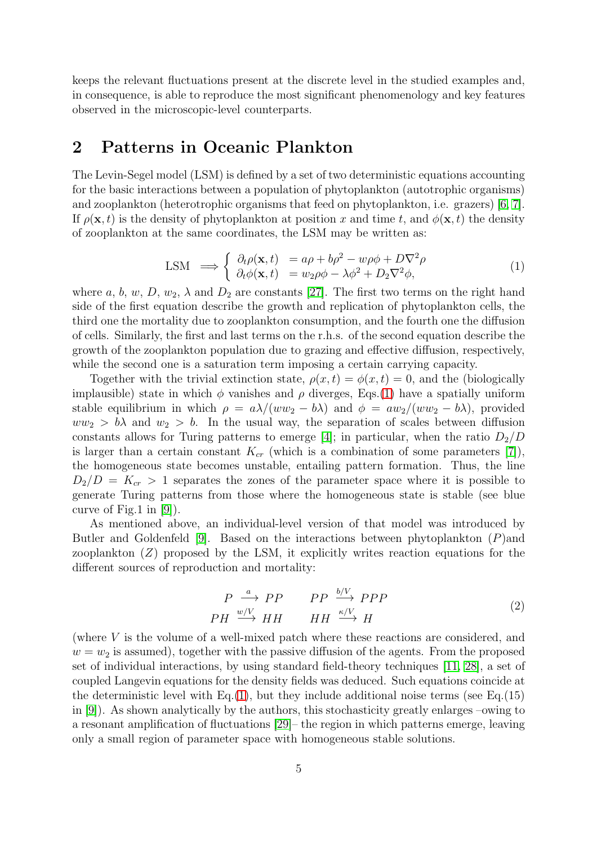keeps the relevant fluctuations present at the discrete level in the studied examples and, in consequence, is able to reproduce the most significant phenomenology and key features observed in the microscopic-level counterparts.

#### 2 Patterns in Oceanic Plankton

The Levin-Segel model (LSM) is defined by a set of two deterministic equations accounting for the basic interactions between a population of phytoplankton (autotrophic organisms) and zooplankton (heterotrophic organisms that feed on phytoplankton, i.e. grazers) [\[6,](#page-16-4) [7\]](#page-16-5). If  $\rho(\mathbf{x}, t)$  is the density of phytoplankton at position x and time t, and  $\phi(\mathbf{x}, t)$  the density of zooplankton at the same coordinates, the LSM may be written as:

<span id="page-4-0"></span>LSM 
$$
\Longrightarrow
$$
 
$$
\begin{cases} \partial_t \rho(\mathbf{x}, t) = a\rho + b\rho^2 - w\rho\phi + D\nabla^2 \rho \\ \partial_t \phi(\mathbf{x}, t) = w_2 \rho\phi - \lambda \phi^2 + D_2 \nabla^2 \phi, \end{cases}
$$
 (1)

where a, b, w, D,  $w_2$ ,  $\lambda$  and  $D_2$  are constants [\[27\]](#page-17-11). The first two terms on the right hand side of the first equation describe the growth and replication of phytoplankton cells, the third one the mortality due to zooplankton consumption, and the fourth one the diffusion of cells. Similarly, the first and last terms on the r.h.s. of the second equation describe the growth of the zooplankton population due to grazing and effective diffusion, respectively, while the second one is a saturation term imposing a certain carrying capacity.

Together with the trivial extinction state,  $\rho(x,t) = \phi(x,t) = 0$ , and the (biologically implausible) state in which  $\phi$  vanishes and  $\rho$  diverges, Eqs.[\(1\)](#page-4-0) have a spatially uniform stable equilibrium in which  $\rho = a\lambda/(ww_2 - b\lambda)$  and  $\phi = aw_2/(ww_2 - b\lambda)$ , provided  $ww_2 > b\lambda$  and  $w_2 > b$ . In the usual way, the separation of scales between diffusion constants allows for Turing patterns to emerge [\[4\]](#page-16-2); in particular, when the ratio  $D_2/D$ is larger than a certain constant  $K_{cr}$  (which is a combination of some parameters [\[7\]](#page-16-5)), the homogeneous state becomes unstable, entailing pattern formation. Thus, the line  $D_2/D = K_{cr} > 1$  separates the zones of the parameter space where it is possible to generate Turing patterns from those where the homogeneous state is stable (see blue curve of Fig.1 in  $[9]$ ).

As mentioned above, an individual-level version of that model was introduced by Butler and Goldenfeld [\[9\]](#page-16-7). Based on the interactions between phytoplankton  $(P)$  and zooplankton  $(Z)$  proposed by the LSM, it explicitly writes reaction equations for the different sources of reproduction and mortality:

$$
P \xrightarrow{a} PP \qquad PP \xrightarrow{b/V} PPP
$$
  
\n
$$
PH \xrightarrow{w/V} HH \qquad HH \xrightarrow{\kappa/V} H
$$
 (2)

(where V is the volume of a well-mixed patch where these reactions are considered, and  $w = w_2$  is assumed), together with the passive diffusion of the agents. From the proposed set of individual interactions, by using standard field-theory techniques [\[11,](#page-16-9) [28\]](#page-17-12), a set of coupled Langevin equations for the density fields was deduced. Such equations coincide at the deterministic level with Eq.[\(1\)](#page-4-0), but they include additional noise terms (see Eq.(15) in [\[9\]](#page-16-7)). As shown analytically by the authors, this stochasticity greatly enlarges –owing to a resonant amplification of fluctuations [\[29\]](#page-17-13)– the region in which patterns emerge, leaving only a small region of parameter space with homogeneous stable solutions.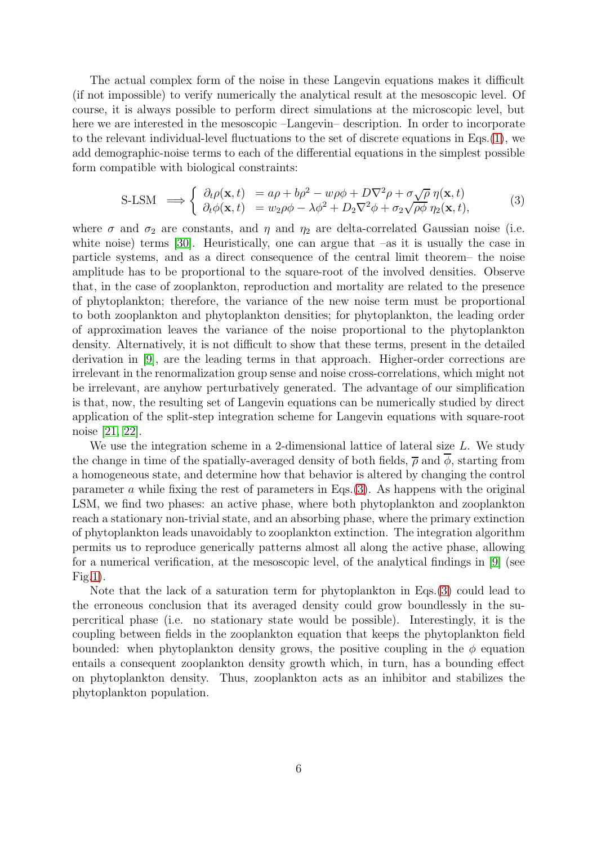The actual complex form of the noise in these Langevin equations makes it difficult (if not impossible) to verify numerically the analytical result at the mesoscopic level. Of course, it is always possible to perform direct simulations at the microscopic level, but here we are interested in the mesoscopic –Langevin– description. In order to incorporate to the relevant individual-level fluctuations to the set of discrete equations in Eqs.[\(1\)](#page-4-0), we add demographic-noise terms to each of the differential equations in the simplest possible form compatible with biological constraints:

<span id="page-5-0"></span>S-LSM 
$$
\Longrightarrow
$$
 
$$
\begin{cases} \partial_t \rho(\mathbf{x},t) = a\rho + b\rho^2 - w\rho\phi + D\nabla^2 \rho + \sigma \sqrt{\rho} \eta(\mathbf{x},t) \\ \partial_t \phi(\mathbf{x},t) = w_2\rho\phi - \lambda \phi^2 + D_2\nabla^2 \phi + \sigma_2 \sqrt{\rho \phi} \eta_2(\mathbf{x},t), \end{cases}
$$
(3)

where  $\sigma$  and  $\sigma_2$  are constants, and  $\eta$  and  $\eta_2$  are delta-correlated Gaussian noise (i.e. white noise) terms [\[30\]](#page-18-0). Heuristically, one can argue that –as it is usually the case in particle systems, and as a direct consequence of the central limit theorem– the noise amplitude has to be proportional to the square-root of the involved densities. Observe that, in the case of zooplankton, reproduction and mortality are related to the presence of phytoplankton; therefore, the variance of the new noise term must be proportional to both zooplankton and phytoplankton densities; for phytoplankton, the leading order of approximation leaves the variance of the noise proportional to the phytoplankton density. Alternatively, it is not difficult to show that these terms, present in the detailed derivation in [\[9\]](#page-16-7), are the leading terms in that approach. Higher-order corrections are irrelevant in the renormalization group sense and noise cross-correlations, which might not be irrelevant, are anyhow perturbatively generated. The advantage of our simplification is that, now, the resulting set of Langevin equations can be numerically studied by direct application of the split-step integration scheme for Langevin equations with square-root noise [\[21,](#page-17-5) [22\]](#page-17-6).

We use the integration scheme in a 2-dimensional lattice of lateral size L. We study the change in time of the spatially-averaged density of both fields,  $\bar{\rho}$  and  $\bar{\phi}$ , starting from a homogeneous state, and determine how that behavior is altered by changing the control parameter a while fixing the rest of parameters in Eqs.  $(3)$ . As happens with the original LSM, we find two phases: an active phase, where both phytoplankton and zooplankton reach a stationary non-trivial state, and an absorbing phase, where the primary extinction of phytoplankton leads unavoidably to zooplankton extinction. The integration algorithm permits us to reproduce generically patterns almost all along the active phase, allowing for a numerical verification, at the mesoscopic level, of the analytical findings in [\[9\]](#page-16-7) (see Fig[.1\)](#page-6-0).

Note that the lack of a saturation term for phytoplankton in Eqs.[\(3\)](#page-5-0) could lead to the erroneous conclusion that its averaged density could grow boundlessly in the supercritical phase (i.e. no stationary state would be possible). Interestingly, it is the coupling between fields in the zooplankton equation that keeps the phytoplankton field bounded: when phytoplankton density grows, the positive coupling in the  $\phi$  equation entails a consequent zooplankton density growth which, in turn, has a bounding effect on phytoplankton density. Thus, zooplankton acts as an inhibitor and stabilizes the phytoplankton population.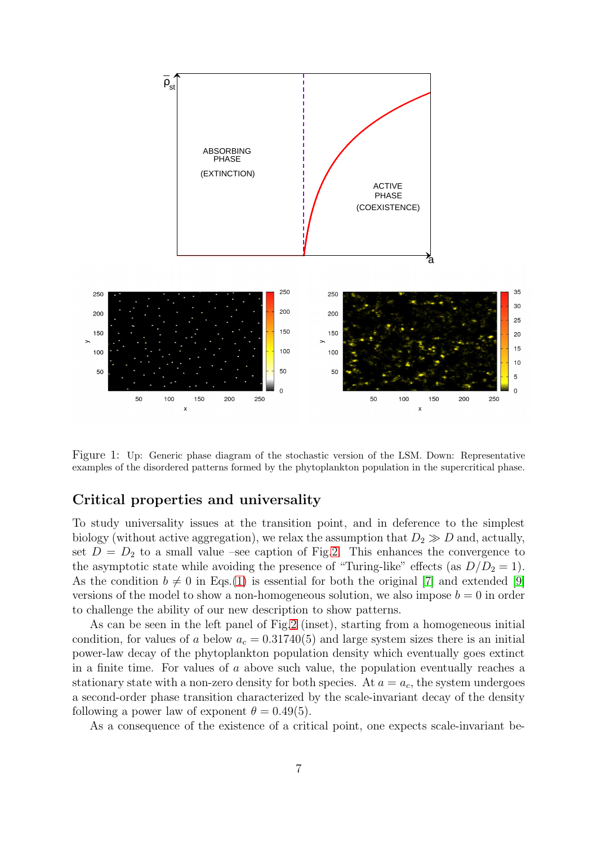

<span id="page-6-0"></span>Figure 1: Up: Generic phase diagram of the stochastic version of the LSM. Down: Representative examples of the disordered patterns formed by the phytoplankton population in the supercritical phase.

#### Critical properties and universality

To study universality issues at the transition point, and in deference to the simplest biology (without active aggregation), we relax the assumption that  $D_2 \gg D$  and, actually, set  $D = D_2$  to a small value –see caption of Fig[.2.](#page-7-0) This enhances the convergence to the asymptotic state while avoiding the presence of "Turing-like" effects (as  $D/D_2 = 1$ ). As the condition  $b \neq 0$  in Eqs.[\(1\)](#page-4-0) is essential for both the original [\[7\]](#page-16-5) and extended [\[9\]](#page-16-7) versions of the model to show a non-homogeneous solution, we also impose  $b = 0$  in order to challenge the ability of our new description to show patterns.

As can be seen in the left panel of Fig[.2](#page-7-0) (inset), starting from a homogeneous initial condition, for values of a below  $a_c = 0.31740(5)$  and large system sizes there is an initial power-law decay of the phytoplankton population density which eventually goes extinct in a finite time. For values of  $a$  above such value, the population eventually reaches a stationary state with a non-zero density for both species. At  $a = a_c$ , the system undergoes a second-order phase transition characterized by the scale-invariant decay of the density following a power law of exponent  $\theta = 0.49(5)$ .

As a consequence of the existence of a critical point, one expects scale-invariant be-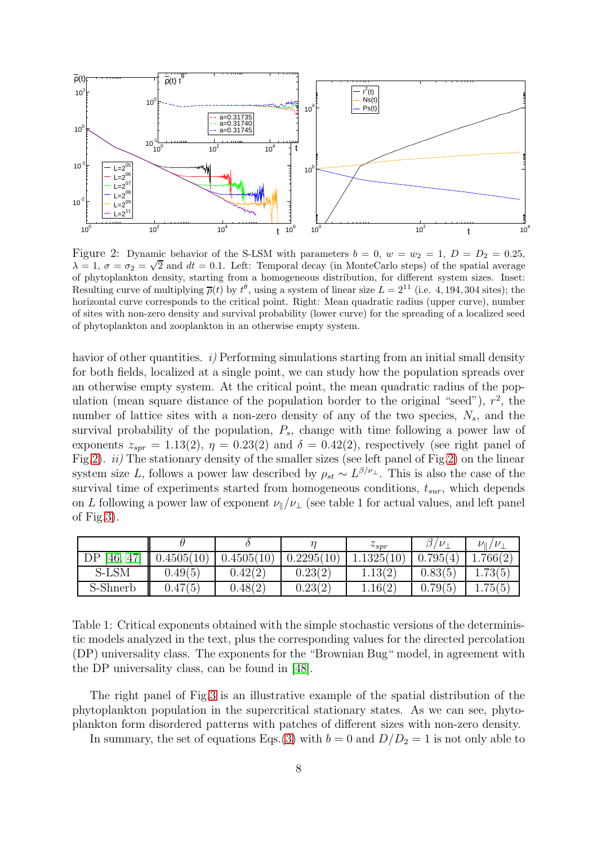

<span id="page-7-0"></span>Figure 2: Dynamic behavior of the S-LSM with parameters  $b = 0$ ,  $w = w_2 = 1$ ,  $D = D_2 = 0.25$ ,  $\lambda = 1$ ,  $\sigma = \sigma_2 = \sqrt{2}$  and  $dt = 0.1$ . Left: Temporal decay (in MonteCarlo steps) of the spatial average of phytoplankton density, starting from a homogeneous distribution, for different system sizes. Inset: Resulting curve of multiplying  $\overline{\rho}(t)$  by  $t^{\theta}$ , using a system of linear size  $L = 2^{11}$  (i.e. 4, 194, 304 sites); the horizontal curve corresponds to the critical point. Right: Mean quadratic radius (upper curve), number of sites with non-zero density and survival probability (lower curve) for the spreading of a localized seed of phytoplankton and zooplankton in an otherwise empty system.

havior of other quantities.  $i$ ) Performing simulations starting from an initial small density for both fields, localized at a single point, we can study how the population spreads over an otherwise empty system. At the critical point, the mean quadratic radius of the population (mean square distance of the population border to the original "seed"),  $r^2$ , the number of lattice sites with a non-zero density of any of the two species,  $N_s$ , and the survival probability of the population,  $P_s$ , change with time following a power law of exponents  $z_{spr} = 1.13(2)$ ,  $\eta = 0.23(2)$  and  $\delta = 0.42(2)$ , respectively (see right panel of Fig[.2\)](#page-7-0). *ii*) The stationary density of the smaller sizes (see left panel of Fig.2) on the linear system size L, follows a power law described by  $\rho_{st} \sim L^{\beta/\nu_{\perp}}$ . This is also the case of the survival time of experiments started from homogeneous conditions,  $t_{sur}$ , which depends on L following a power law of exponent  $\nu_{\parallel}/\nu_{\perp}$  (see table 1 for actual values, and left panel of Fig.  $3$ ).

|                |            |            |            | $\sim$ spr | $\nu$    | $\nu_{\parallel}/\nu$ |
|----------------|------------|------------|------------|------------|----------|-----------------------|
| [46, 47]<br>DP | 0.4505(10) | 0.4505(10) | 0.2295(10) | 1.1325(10) | 0.795(4) | .766(2`               |
| S-LSM          | 0.49(5)    | 0.42(2)    | 0.23(2)    | 1.13(2)    | 0.83(5)  | .73(5)                |
| S-Shnerb       | 0.47(5)    | 0.48(2)    | 0.23(2)    | 1.16(2)    | 0.79(5)  | 75(5)                 |

Table 1: Critical exponents obtained with the simple stochastic versions of the deterministic models analyzed in the text, plus the corresponding values for the directed percolation (DP) universality class. The exponents for the "Brownian Bug" model, in agreement with the DP universality class, can be found in [\[48\]](#page-19-2).

The right panel of Fig[.3](#page-8-0) is an illustrative example of the spatial distribution of the phytoplankton population in the supercritical stationary states. As we can see, phytoplankton form disordered patterns with patches of different sizes with non-zero density.

In summary, the set of equations Eqs.[\(3\)](#page-5-0) with  $b = 0$  and  $D/D_2 = 1$  is not only able to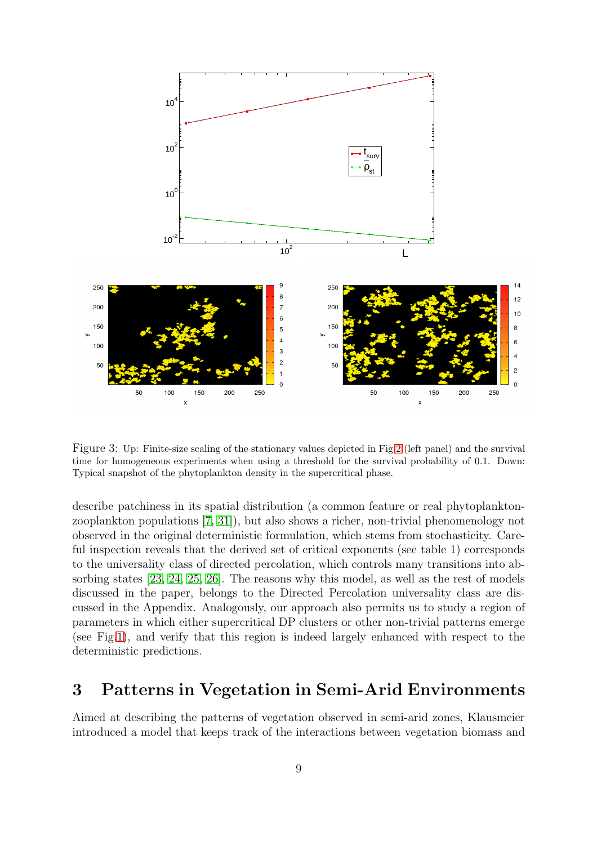

<span id="page-8-0"></span>Figure 3: Up: Finite-size scaling of the stationary values depicted in Fig[.2](#page-7-0) (left panel) and the survival time for homogeneous experiments when using a threshold for the survival probability of 0.1. Down: Typical snapshot of the phytoplankton density in the supercritical phase.

describe patchiness in its spatial distribution (a common feature or real phytoplanktonzooplankton populations [\[7,](#page-16-5) [31\]](#page-18-1)), but also shows a richer, non-trivial phenomenology not observed in the original deterministic formulation, which stems from stochasticity. Careful inspection reveals that the derived set of critical exponents (see table 1) corresponds to the universality class of directed percolation, which controls many transitions into absorbing states [\[23,](#page-17-7) [24,](#page-17-8) [25,](#page-17-9) [26\]](#page-17-10). The reasons why this model, as well as the rest of models discussed in the paper, belongs to the Directed Percolation universality class are discussed in the Appendix. Analogously, our approach also permits us to study a region of parameters in which either supercritical DP clusters or other non-trivial patterns emerge (see Fig[.1\)](#page-6-0), and verify that this region is indeed largely enhanced with respect to the deterministic predictions.

#### 3 Patterns in Vegetation in Semi-Arid Environments

Aimed at describing the patterns of vegetation observed in semi-arid zones, Klausmeier introduced a model that keeps track of the interactions between vegetation biomass and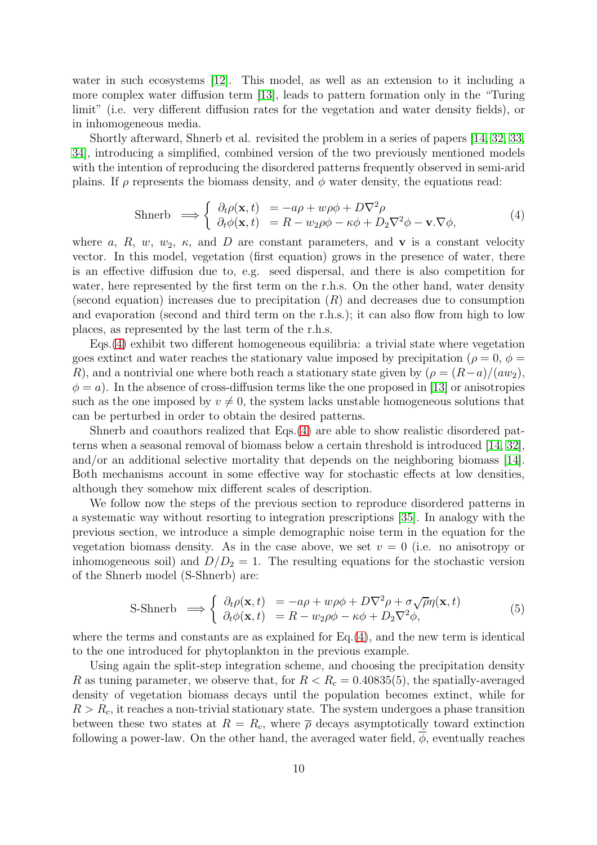water in such ecosystems [\[12\]](#page-16-10). This model, as well as an extension to it including a more complex water diffusion term [\[13\]](#page-16-11), leads to pattern formation only in the "Turing limit" (i.e. very different diffusion rates for the vegetation and water density fields), or in inhomogeneous media.

Shortly afterward, Shnerb et al. revisited the problem in a series of papers [\[14,](#page-16-12) [32,](#page-18-2) [33,](#page-18-3) [34\]](#page-18-4), introducing a simplified, combined version of the two previously mentioned models with the intention of reproducing the disordered patterns frequently observed in semi-arid plains. If  $\rho$  represents the biomass density, and  $\phi$  water density, the equations read:

<span id="page-9-0"></span>
$$
\text{Shnerb} \implies \begin{cases} \partial_t \rho(\mathbf{x}, t) = -a\rho + w\rho\phi + D\nabla^2 \rho \\ \partial_t \phi(\mathbf{x}, t) = R - w_2\rho\phi - \kappa\phi + D_2\nabla^2 \phi - \mathbf{v}.\nabla \phi, \end{cases} \tag{4}
$$

where a, R, w,  $w_2$ ,  $\kappa$ , and D are constant parameters, and **v** is a constant velocity vector. In this model, vegetation (first equation) grows in the presence of water, there is an effective diffusion due to, e.g. seed dispersal, and there is also competition for water, here represented by the first term on the r.h.s. On the other hand, water density (second equation) increases due to precipitation  $(R)$  and decreases due to consumption and evaporation (second and third term on the r.h.s.); it can also flow from high to low places, as represented by the last term of the r.h.s.

Eqs.[\(4\)](#page-9-0) exhibit two different homogeneous equilibria: a trivial state where vegetation goes extinct and water reaches the stationary value imposed by precipitation ( $\rho = 0, \phi =$ R), and a nontrivial one where both reach a stationary state given by  $(\rho = (R-a)/(aw_2))$ ,  $\phi = a$ ). In the absence of cross-diffusion terms like the one proposed in [\[13\]](#page-16-11) or anisotropies such as the one imposed by  $v \neq 0$ , the system lacks unstable homogeneous solutions that can be perturbed in order to obtain the desired patterns.

Shnerb and coauthors realized that Eqs.[\(4\)](#page-9-0) are able to show realistic disordered patterns when a seasonal removal of biomass below a certain threshold is introduced [\[14,](#page-16-12) [32\]](#page-18-2), and/or an additional selective mortality that depends on the neighboring biomass [\[14\]](#page-16-12). Both mechanisms account in some effective way for stochastic effects at low densities, although they somehow mix different scales of description.

We follow now the steps of the previous section to reproduce disordered patterns in a systematic way without resorting to integration prescriptions [\[35\]](#page-18-5). In analogy with the previous section, we introduce a simple demographic noise term in the equation for the vegetation biomass density. As in the case above, we set  $v = 0$  (i.e. no anisotropy or inhomogeneous soil) and  $D/D_2 = 1$ . The resulting equations for the stochastic version of the Shnerb model (S-Shnerb) are:

<span id="page-9-1"></span>S-Shnerb 
$$
\Longrightarrow
$$
 
$$
\begin{cases} \partial_t \rho(\mathbf{x}, t) = -a\rho + w\rho\phi + D\nabla^2 \rho + \sigma \sqrt{\rho} \eta(\mathbf{x}, t) \\ \partial_t \phi(\mathbf{x}, t) = R - w_2 \rho\phi - \kappa\phi + D_2 \nabla^2 \phi, \end{cases}
$$
(5)

where the terms and constants are as explained for  $Eq.(4)$  $Eq.(4)$ , and the new term is identical to the one introduced for phytoplankton in the previous example.

Using again the split-step integration scheme, and choosing the precipitation density R as tuning parameter, we observe that, for  $R < R<sub>c</sub> = 0.40835(5)$ , the spatially-averaged density of vegetation biomass decays until the population becomes extinct, while for  $R > R_c$ , it reaches a non-trivial stationary state. The system undergoes a phase transition between these two states at  $R = R_c$ , where  $\bar{\rho}$  decays asymptotically toward extinction following a power-law. On the other hand, the averaged water field,  $\phi$ , eventually reaches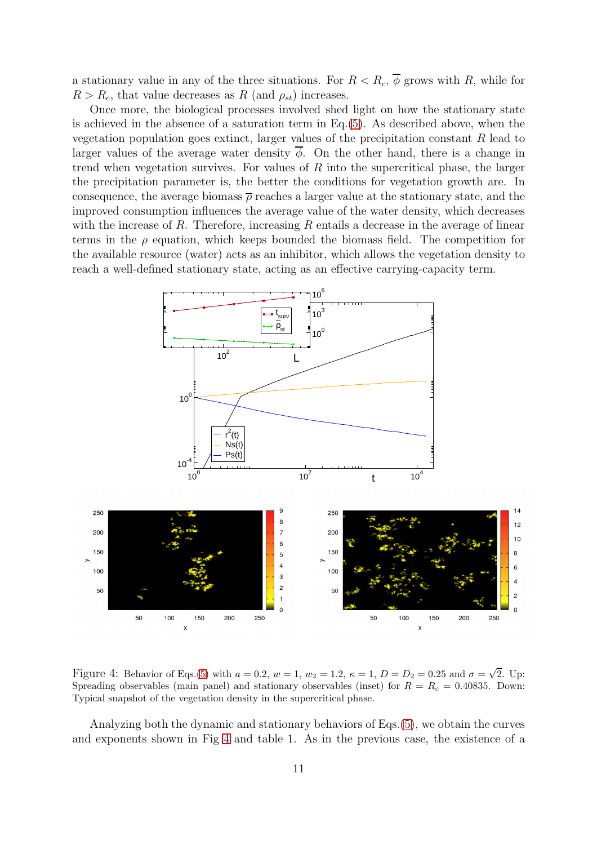a stationary value in any of the three situations. For  $R < R_c$ ,  $\overline{\phi}$  grows with R, while for  $R > R_c$ , that value decreases as R (and  $\rho_{st}$ ) increases.

Once more, the biological processes involved shed light on how the stationary state is achieved in the absence of a saturation term in Eq.[\(5\)](#page-9-1). As described above, when the vegetation population goes extinct, larger values of the precipitation constant R lead to larger values of the average water density  $\overline{\phi}$ . On the other hand, there is a change in trend when vegetation survives. For values of  $R$  into the supercritical phase, the larger the precipitation parameter is, the better the conditions for vegetation growth are. In consequence, the average biomass  $\bar{\rho}$  reaches a larger value at the stationary state, and the improved consumption influences the average value of the water density, which decreases with the increase of R. Therefore, increasing  $R$  entails a decrease in the average of linear terms in the  $\rho$  equation, which keeps bounded the biomass field. The competition for the available resource (water) acts as an inhibitor, which allows the vegetation density to reach a well-defined stationary state, acting as an effective carrying-capacity term.



<span id="page-10-0"></span>Figure 4: Behavior of Eqs.[\(5\)](#page-9-1) with  $a = 0.2$ ,  $w = 1$ ,  $w_2 = 1.2$ ,  $\kappa = 1$ ,  $D = D_2 = 0.25$  and  $\sigma = \sqrt{2}$ . Up: Spreading observables (main panel) and stationary observables (inset) for  $R = R_c = 0.40835$ . Down: Typical snapshot of the vegetation density in the supercritical phase.

Analyzing both the dynamic and stationary behaviors of Eqs.[\(5\)](#page-9-1), we obtain the curves and exponents shown in Fig [4](#page-10-0) and table 1. As in the previous case, the existence of a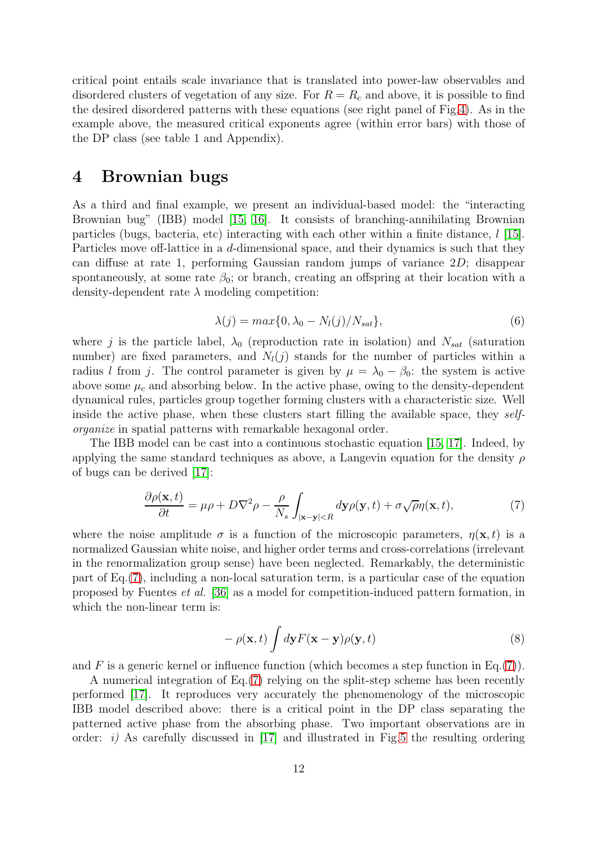critical point entails scale invariance that is translated into power-law observables and disordered clusters of vegetation of any size. For  $R = R_c$  and above, it is possible to find the desired disordered patterns with these equations (see right panel of Fig[.4\)](#page-10-0). As in the example above, the measured critical exponents agree (within error bars) with those of the DP class (see table 1 and Appendix).

#### 4 Brownian bugs

As a third and final example, we present an individual-based model: the "interacting Brownian bug" (IBB) model [\[15,](#page-16-13) [16\]](#page-17-0). It consists of branching-annihilating Brownian particles (bugs, bacteria, etc) interacting with each other within a finite distance,  $l$  [\[15\]](#page-16-13). Particles move off-lattice in a d-dimensional space, and their dynamics is such that they can diffuse at rate 1, performing Gaussian random jumps of variance  $2D$ ; disappear spontaneously, at some rate  $\beta_0$ ; or branch, creating an offspring at their location with a density-dependent rate  $\lambda$  modeling competition:

$$
\lambda(j) = \max\{0, \lambda_0 - N_l(j)/N_{sat}\},\tag{6}
$$

where j is the particle label,  $\lambda_0$  (reproduction rate in isolation) and  $N_{sat}$  (saturation number) are fixed parameters, and  $N_l(i)$  stands for the number of particles within a radius l from j. The control parameter is given by  $\mu = \lambda_0 - \beta_0$ : the system is active above some  $\mu_c$  and absorbing below. In the active phase, owing to the density-dependent dynamical rules, particles group together forming clusters with a characteristic size. Well inside the active phase, when these clusters start filling the available space, they selforganize in spatial patterns with remarkable hexagonal order.

The IBB model can be cast into a continuous stochastic equation [\[15,](#page-16-13) [17\]](#page-17-1). Indeed, by applying the same standard techniques as above, a Langevin equation for the density  $\rho$ of bugs can be derived [\[17\]](#page-17-1):

<span id="page-11-0"></span>
$$
\frac{\partial \rho(\mathbf{x},t)}{\partial t} = \mu \rho + D \nabla^2 \rho - \frac{\rho}{N_s} \int_{|\mathbf{x}-\mathbf{y}|
$$

where the noise amplitude  $\sigma$  is a function of the microscopic parameters,  $\eta(\mathbf{x}, t)$  is a normalized Gaussian white noise, and higher order terms and cross-correlations (irrelevant in the renormalization group sense) have been neglected. Remarkably, the deterministic part of Eq.[\(7\)](#page-11-0), including a non-local saturation term, is a particular case of the equation proposed by Fuentes et al. [\[36\]](#page-18-6) as a model for competition-induced pattern formation, in which the non-linear term is:

$$
-\rho(\mathbf{x},t)\int d\mathbf{y}F(\mathbf{x}-\mathbf{y})\rho(\mathbf{y},t)
$$
\n(8)

and F is a generic kernel or influence function (which becomes a step function in Eq.[\(7\)](#page-11-0)).

A numerical integration of Eq.[\(7\)](#page-11-0) relying on the split-step scheme has been recently performed [\[17\]](#page-17-1). It reproduces very accurately the phenomenology of the microscopic IBB model described above: there is a critical point in the DP class separating the patterned active phase from the absorbing phase. Two important observations are in order: *i*) As carefully discussed in  $[17]$  and illustrated in Fig[.5](#page-12-0) the resulting ordering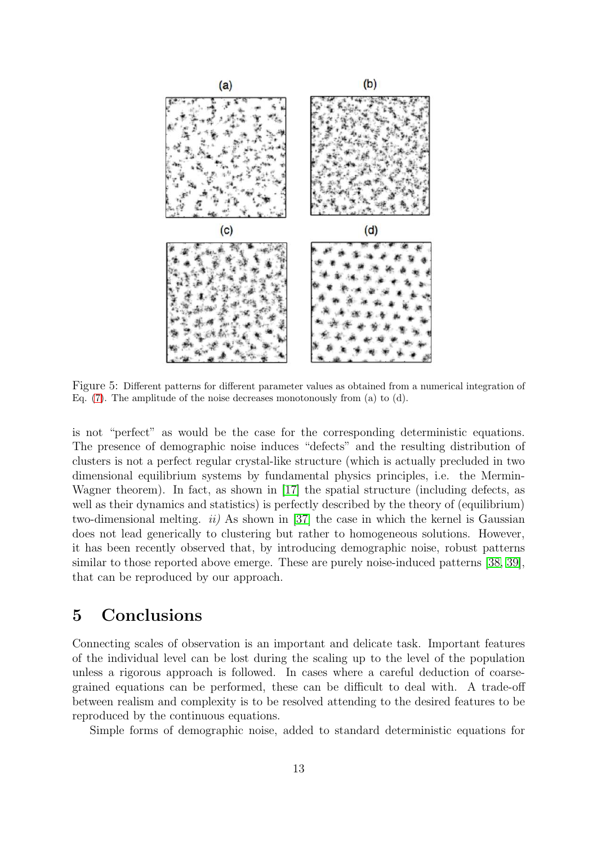

<span id="page-12-0"></span>Figure 5: Different patterns for different parameter values as obtained from a numerical integration of Eq.  $(7)$ . The amplitude of the noise decreases monotonously from  $(a)$  to  $(d)$ .

is not "perfect" as would be the case for the corresponding deterministic equations. The presence of demographic noise induces "defects" and the resulting distribution of clusters is not a perfect regular crystal-like structure (which is actually precluded in two dimensional equilibrium systems by fundamental physics principles, i.e. the Mermin-Wagner theorem). In fact, as shown in [\[17\]](#page-17-1) the spatial structure (including defects, as well as their dynamics and statistics) is perfectly described by the theory of (equilibrium) two-dimensional melting.  $ii$ ) As shown in [\[37\]](#page-18-7) the case in which the kernel is Gaussian does not lead generically to clustering but rather to homogeneous solutions. However, it has been recently observed that, by introducing demographic noise, robust patterns similar to those reported above emerge. These are purely noise-induced patterns [\[38,](#page-18-8) [39\]](#page-18-9), that can be reproduced by our approach.

#### 5 Conclusions

Connecting scales of observation is an important and delicate task. Important features of the individual level can be lost during the scaling up to the level of the population unless a rigorous approach is followed. In cases where a careful deduction of coarsegrained equations can be performed, these can be difficult to deal with. A trade-off between realism and complexity is to be resolved attending to the desired features to be reproduced by the continuous equations.

Simple forms of demographic noise, added to standard deterministic equations for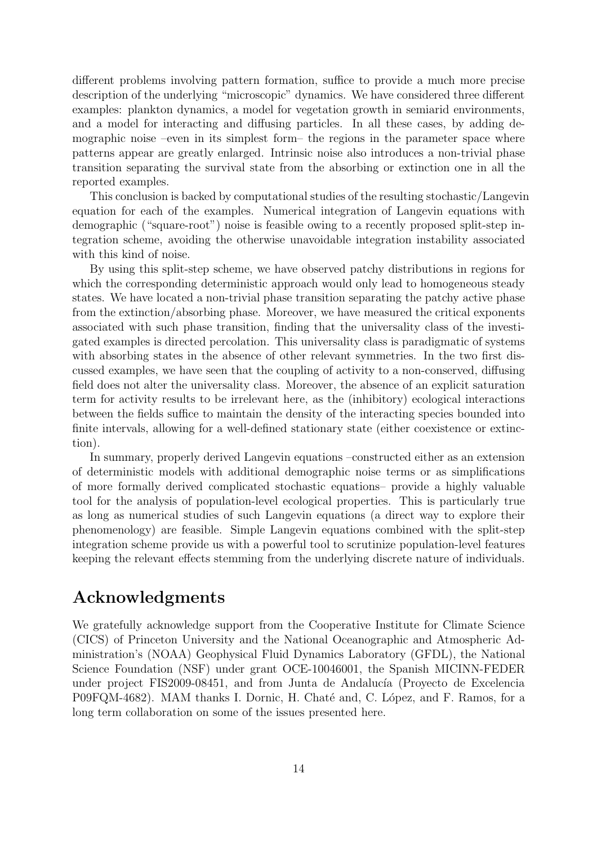different problems involving pattern formation, suffice to provide a much more precise description of the underlying "microscopic" dynamics. We have considered three different examples: plankton dynamics, a model for vegetation growth in semiarid environments, and a model for interacting and diffusing particles. In all these cases, by adding demographic noise –even in its simplest form– the regions in the parameter space where patterns appear are greatly enlarged. Intrinsic noise also introduces a non-trivial phase transition separating the survival state from the absorbing or extinction one in all the reported examples.

This conclusion is backed by computational studies of the resulting stochastic/Langevin equation for each of the examples. Numerical integration of Langevin equations with demographic ("square-root") noise is feasible owing to a recently proposed split-step integration scheme, avoiding the otherwise unavoidable integration instability associated with this kind of noise.

By using this split-step scheme, we have observed patchy distributions in regions for which the corresponding deterministic approach would only lead to homogeneous steady states. We have located a non-trivial phase transition separating the patchy active phase from the extinction/absorbing phase. Moreover, we have measured the critical exponents associated with such phase transition, finding that the universality class of the investigated examples is directed percolation. This universality class is paradigmatic of systems with absorbing states in the absence of other relevant symmetries. In the two first discussed examples, we have seen that the coupling of activity to a non-conserved, diffusing field does not alter the universality class. Moreover, the absence of an explicit saturation term for activity results to be irrelevant here, as the (inhibitory) ecological interactions between the fields suffice to maintain the density of the interacting species bounded into finite intervals, allowing for a well-defined stationary state (either coexistence or extinction).

In summary, properly derived Langevin equations –constructed either as an extension of deterministic models with additional demographic noise terms or as simplifications of more formally derived complicated stochastic equations– provide a highly valuable tool for the analysis of population-level ecological properties. This is particularly true as long as numerical studies of such Langevin equations (a direct way to explore their phenomenology) are feasible. Simple Langevin equations combined with the split-step integration scheme provide us with a powerful tool to scrutinize population-level features keeping the relevant effects stemming from the underlying discrete nature of individuals.

### Acknowledgments

We gratefully acknowledge support from the Cooperative Institute for Climate Science (CICS) of Princeton University and the National Oceanographic and Atmospheric Administration's (NOAA) Geophysical Fluid Dynamics Laboratory (GFDL), the National Science Foundation (NSF) under grant OCE-10046001, the Spanish MICINN-FEDER under project FIS2009-08451, and from Junta de Andalucía (Proyecto de Excelencia P09FQM-4682). MAM thanks I. Dornic, H. Chaté and, C. López, and F. Ramos, for a long term collaboration on some of the issues presented here.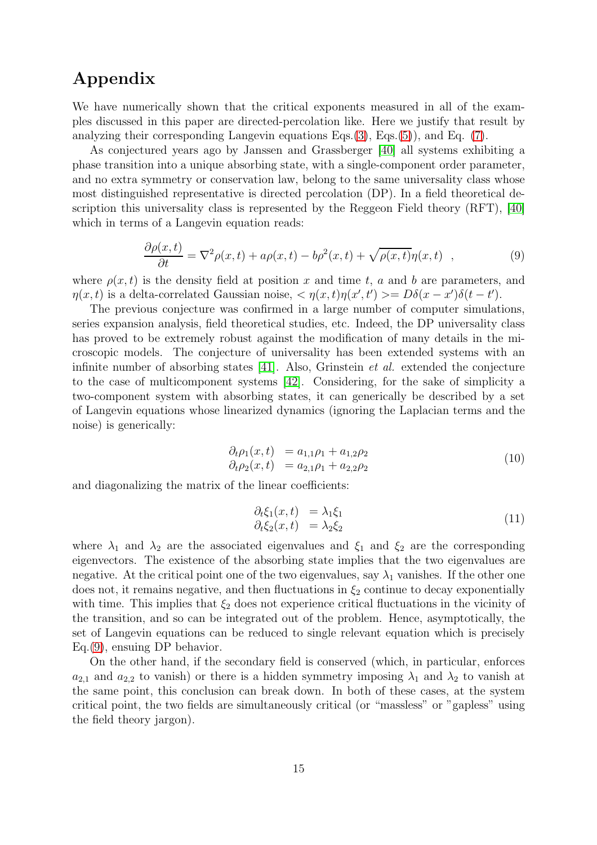## Appendix

We have numerically shown that the critical exponents measured in all of the examples discussed in this paper are directed-percolation like. Here we justify that result by analyzing their corresponding Langevin equations  $Eqs.(3)$  $Eqs.(3)$ ,  $Eqs.(5)$  $Eqs.(5)$ , and  $Eq. (7)$  $Eq. (7)$ .

As conjectured years ago by Janssen and Grassberger [\[40\]](#page-18-10) all systems exhibiting a phase transition into a unique absorbing state, with a single-component order parameter, and no extra symmetry or conservation law, belong to the same universality class whose most distinguished representative is directed percolation (DP). In a field theoretical description this universality class is represented by the Reggeon Field theory (RFT), [\[40\]](#page-18-10) which in terms of a Langevin equation reads:

<span id="page-14-0"></span>
$$
\frac{\partial \rho(x,t)}{\partial t} = \nabla^2 \rho(x,t) + a\rho(x,t) - b\rho^2(x,t) + \sqrt{\rho(x,t)}\eta(x,t) , \qquad (9)
$$

where  $\rho(x, t)$  is the density field at position x and time t, a and b are parameters, and  $\eta(x,t)$  is a delta-correlated Gaussian noise,  $\langle \eta(x,t) \eta(x',t') \rangle = D\delta(x-x')\delta(t-t')$ .

The previous conjecture was confirmed in a large number of computer simulations, series expansion analysis, field theoretical studies, etc. Indeed, the DP universality class has proved to be extremely robust against the modification of many details in the microscopic models. The conjecture of universality has been extended systems with an infinite number of absorbing states [\[41\]](#page-18-11). Also, Grinstein et al. extended the conjecture to the case of multicomponent systems [\[42\]](#page-19-3). Considering, for the sake of simplicity a two-component system with absorbing states, it can generically be described by a set of Langevin equations whose linearized dynamics (ignoring the Laplacian terms and the noise) is generically:

$$
\begin{aligned}\n\partial_t \rho_1(x,t) &= a_{1,1}\rho_1 + a_{1,2}\rho_2 \\
\partial_t \rho_2(x,t) &= a_{2,1}\rho_1 + a_{2,2}\rho_2\n\end{aligned} \tag{10}
$$

and diagonalizing the matrix of the linear coefficients:

$$
\begin{aligned}\n\partial_t \xi_1(x,t) &= \lambda_1 \xi_1 \\
\partial_t \xi_2(x,t) &= \lambda_2 \xi_2\n\end{aligned} \tag{11}
$$

where  $\lambda_1$  and  $\lambda_2$  are the associated eigenvalues and  $\xi_1$  and  $\xi_2$  are the corresponding eigenvectors. The existence of the absorbing state implies that the two eigenvalues are negative. At the critical point one of the two eigenvalues, say  $\lambda_1$  vanishes. If the other one does not, it remains negative, and then fluctuations in  $\xi_2$  continue to decay exponentially with time. This implies that  $\xi_2$  does not experience critical fluctuations in the vicinity of the transition, and so can be integrated out of the problem. Hence, asymptotically, the set of Langevin equations can be reduced to single relevant equation which is precisely Eq.[\(9\)](#page-14-0), ensuing DP behavior.

On the other hand, if the secondary field is conserved (which, in particular, enforces  $a_{2,1}$  and  $a_{2,2}$  to vanish) or there is a hidden symmetry imposing  $\lambda_1$  and  $\lambda_2$  to vanish at the same point, this conclusion can break down. In both of these cases, at the system critical point, the two fields are simultaneously critical (or "massless" or "gapless" using the field theory jargon).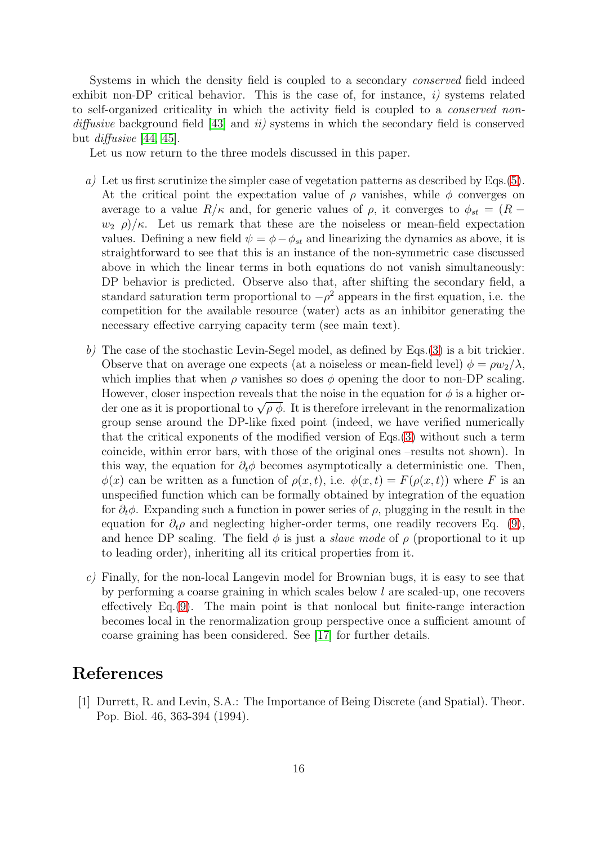Systems in which the density field is coupled to a secondary conserved field indeed exhibit non-DP critical behavior. This is the case of, for instance,  $i$ ) systems related to self-organized criticality in which the activity field is coupled to a conserved non-diffusive background field [\[43\]](#page-19-4) and *ii*) systems in which the secondary field is conserved but *diffusive* [\[44,](#page-19-5) [45\]](#page-19-6).

Let us now return to the three models discussed in this paper.

- a) Let us first scrutinize the simpler case of vegetation patterns as described by Eqs.  $(5)$ . At the critical point the expectation value of  $\rho$  vanishes, while  $\phi$  converges on average to a value  $R/\kappa$  and, for generic values of  $\rho$ , it converges to  $\phi_{st} = (R$  $w_2$  ρ)/κ. Let us remark that these are the noiseless or mean-field expectation values. Defining a new field  $\psi = \phi - \phi_{st}$  and linearizing the dynamics as above, it is straightforward to see that this is an instance of the non-symmetric case discussed above in which the linear terms in both equations do not vanish simultaneously: DP behavior is predicted. Observe also that, after shifting the secondary field, a standard saturation term proportional to  $-\rho^2$  appears in the first equation, i.e. the competition for the available resource (water) acts as an inhibitor generating the necessary effective carrying capacity term (see main text).
- b) The case of the stochastic Levin-Segel model, as defined by Eqs.[\(3\)](#page-5-0) is a bit trickier. Observe that on average one expects (at a noiseless or mean-field level)  $\phi = \rho w_2/\lambda$ , which implies that when  $\rho$  vanishes so does  $\phi$  opening the door to non-DP scaling. However, closer inspection reveals that the noise in the equation for  $\phi$  is a higher order one as it is proportional to  $\sqrt{\rho \phi}$ . It is therefore irrelevant in the renormalization group sense around the DP-like fixed point (indeed, we have verified numerically that the critical exponents of the modified version of Eqs.[\(3\)](#page-5-0) without such a term coincide, within error bars, with those of the original ones –results not shown). In this way, the equation for  $\partial_t \phi$  becomes asymptotically a deterministic one. Then,  $\phi(x)$  can be written as a function of  $\rho(x, t)$ , i.e.  $\phi(x, t) = F(\rho(x, t))$  where F is an unspecified function which can be formally obtained by integration of the equation for  $\partial_t \phi$ . Expanding such a function in power series of  $\rho$ , plugging in the result in the equation for  $\partial_t \rho$  and neglecting higher-order terms, one readily recovers Eq. [\(9\)](#page-14-0), and hence DP scaling. The field  $\phi$  is just a *slave mode* of  $\rho$  (proportional to it up to leading order), inheriting all its critical properties from it.
- c) Finally, for the non-local Langevin model for Brownian bugs, it is easy to see that by performing a coarse graining in which scales below  $l$  are scaled-up, one recovers effectively Eq.[\(9\)](#page-14-0). The main point is that nonlocal but finite-range interaction becomes local in the renormalization group perspective once a sufficient amount of coarse graining has been considered. See [\[17\]](#page-17-1) for further details.

#### <span id="page-15-0"></span>References

[1] Durrett, R. and Levin, S.A.: The Importance of Being Discrete (and Spatial). Theor. Pop. Biol. 46, 363-394 (1994).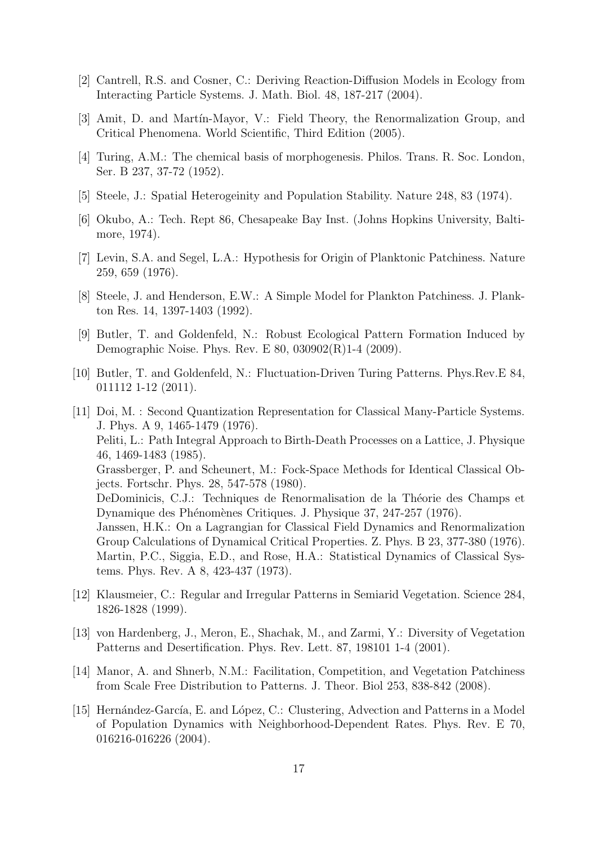- <span id="page-16-1"></span><span id="page-16-0"></span>[2] Cantrell, R.S. and Cosner, C.: Deriving Reaction-Diffusion Models in Ecology from Interacting Particle Systems. J. Math. Biol. 48, 187-217 (2004).
- <span id="page-16-2"></span>[3] Amit, D. and Mart´ın-Mayor, V.: Field Theory, the Renormalization Group, and Critical Phenomena. World Scientific, Third Edition (2005).
- <span id="page-16-3"></span>[4] Turing, A.M.: The chemical basis of morphogenesis. Philos. Trans. R. Soc. London, Ser. B 237, 37-72 (1952).
- <span id="page-16-4"></span>[5] Steele, J.: Spatial Heterogeinity and Population Stability. Nature 248, 83 (1974).
- <span id="page-16-5"></span>[6] Okubo, A.: Tech. Rept 86, Chesapeake Bay Inst. (Johns Hopkins University, Baltimore, 1974).
- <span id="page-16-6"></span>[7] Levin, S.A. and Segel, L.A.: Hypothesis for Origin of Planktonic Patchiness. Nature 259, 659 (1976).
- <span id="page-16-7"></span>[8] Steele, J. and Henderson, E.W.: A Simple Model for Plankton Patchiness. J. Plankton Res. 14, 1397-1403 (1992).
- <span id="page-16-8"></span>[9] Butler, T. and Goldenfeld, N.: Robust Ecological Pattern Formation Induced by Demographic Noise. Phys. Rev. E 80, 030902(R)1-4 (2009).
- <span id="page-16-9"></span>[10] Butler, T. and Goldenfeld, N.: Fluctuation-Driven Turing Patterns. Phys.Rev.E 84, 011112 1-12 (2011).
- [11] Doi, M. : Second Quantization Representation for Classical Many-Particle Systems. J. Phys. A 9, 1465-1479 (1976). Peliti, L.: Path Integral Approach to Birth-Death Processes on a Lattice, J. Physique 46, 1469-1483 (1985). Grassberger, P. and Scheunert, M.: Fock-Space Methods for Identical Classical Objects. Fortschr. Phys. 28, 547-578 (1980). DeDominicis, C.J.: Techniques de Renormalisation de la Théorie des Champs et Dynamique des Phénomènes Critiques. J. Physique 37, 247-257 (1976). Janssen, H.K.: On a Lagrangian for Classical Field Dynamics and Renormalization Group Calculations of Dynamical Critical Properties. Z. Phys. B 23, 377-380 (1976). Martin, P.C., Siggia, E.D., and Rose, H.A.: Statistical Dynamics of Classical Systems. Phys. Rev. A 8, 423-437 (1973).
- <span id="page-16-10"></span>[12] Klausmeier, C.: Regular and Irregular Patterns in Semiarid Vegetation. Science 284, 1826-1828 (1999).
- <span id="page-16-11"></span>[13] von Hardenberg, J., Meron, E., Shachak, M., and Zarmi, Y.: Diversity of Vegetation Patterns and Desertification. Phys. Rev. Lett. 87, 198101 1-4 (2001).
- <span id="page-16-12"></span>[14] Manor, A. and Shnerb, N.M.: Facilitation, Competition, and Vegetation Patchiness from Scale Free Distribution to Patterns. J. Theor. Biol 253, 838-842 (2008).
- <span id="page-16-13"></span>[15] Hernández-García, E. and López, C.: Clustering, Advection and Patterns in a Model of Population Dynamics with Neighborhood-Dependent Rates. Phys. Rev. E 70, 016216-016226 (2004).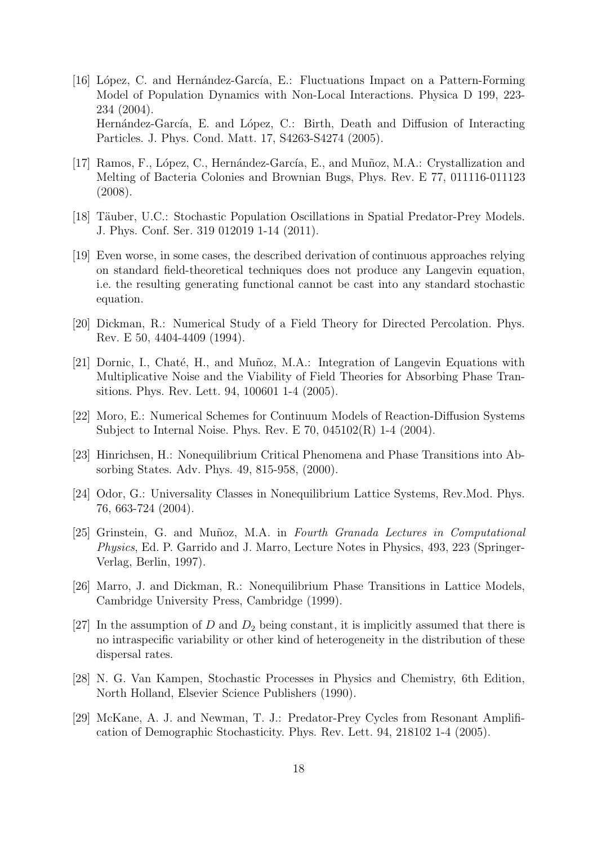- <span id="page-17-0"></span>[16] López, C. and Hernández-García, E.: Fluctuations Impact on a Pattern-Forming Model of Population Dynamics with Non-Local Interactions. Physica D 199, 223- 234 (2004). Hernández-García, E. and López, C.: Birth, Death and Diffusion of Interacting Particles. J. Phys. Cond. Matt. 17, S4263-S4274 (2005).
- <span id="page-17-1"></span>[17] Ramos, F., López, C., Hernández-García, E., and Muñoz, M.A.: Crystallization and Melting of Bacteria Colonies and Brownian Bugs, Phys. Rev. E 77, 011116-011123 (2008).
- <span id="page-17-3"></span><span id="page-17-2"></span>[18] Täuber, U.C.: Stochastic Population Oscillations in Spatial Predator-Prey Models. J. Phys. Conf. Ser. 319 012019 1-14 (2011).
- [19] Even worse, in some cases, the described derivation of continuous approaches relying on standard field-theoretical techniques does not produce any Langevin equation, i.e. the resulting generating functional cannot be cast into any standard stochastic equation.
- <span id="page-17-5"></span><span id="page-17-4"></span>[20] Dickman, R.: Numerical Study of a Field Theory for Directed Percolation. Phys. Rev. E 50, 4404-4409 (1994).
- [21] Dornic, I., Chaté, H., and Muñoz, M.A.: Integration of Langevin Equations with Multiplicative Noise and the Viability of Field Theories for Absorbing Phase Transitions. Phys. Rev. Lett. 94, 100601 1-4 (2005).
- <span id="page-17-6"></span>[22] Moro, E.: Numerical Schemes for Continuum Models of Reaction-Diffusion Systems Subject to Internal Noise. Phys. Rev. E 70, 045102(R) 1-4 (2004).
- <span id="page-17-7"></span>[23] Hinrichsen, H.: Nonequilibrium Critical Phenomena and Phase Transitions into Absorbing States. Adv. Phys. 49, 815-958, (2000).
- <span id="page-17-8"></span>[24] Odor, G.: Universality Classes in Nonequilibrium Lattice Systems, Rev.Mod. Phys. 76, 663-724 (2004).
- <span id="page-17-9"></span>[25] Grinstein, G. and Muñoz, M.A. in Fourth Granada Lectures in Computational Physics, Ed. P. Garrido and J. Marro, Lecture Notes in Physics, 493, 223 (Springer-Verlag, Berlin, 1997).
- <span id="page-17-10"></span>[26] Marro, J. and Dickman, R.: Nonequilibrium Phase Transitions in Lattice Models, Cambridge University Press, Cambridge (1999).
- <span id="page-17-11"></span>[27] In the assumption of  $D$  and  $D_2$  being constant, it is implicitly assumed that there is no intraspecific variability or other kind of heterogeneity in the distribution of these dispersal rates.
- <span id="page-17-12"></span>[28] N. G. Van Kampen, Stochastic Processes in Physics and Chemistry, 6th Edition, North Holland, Elsevier Science Publishers (1990).
- <span id="page-17-13"></span>[29] McKane, A. J. and Newman, T. J.: Predator-Prey Cycles from Resonant Amplification of Demographic Stochasticity. Phys. Rev. Lett. 94, 218102 1-4 (2005).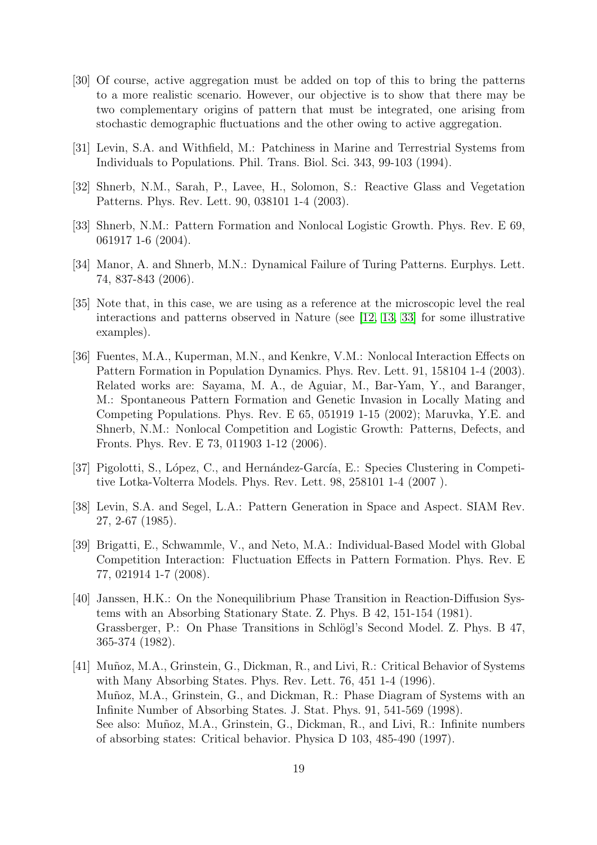- <span id="page-18-0"></span>[30] Of course, active aggregation must be added on top of this to bring the patterns to a more realistic scenario. However, our objective is to show that there may be two complementary origins of pattern that must be integrated, one arising from stochastic demographic fluctuations and the other owing to active aggregation.
- <span id="page-18-2"></span><span id="page-18-1"></span>[31] Levin, S.A. and Withfield, M.: Patchiness in Marine and Terrestrial Systems from Individuals to Populations. Phil. Trans. Biol. Sci. 343, 99-103 (1994).
- <span id="page-18-3"></span>[32] Shnerb, N.M., Sarah, P., Lavee, H., Solomon, S.: Reactive Glass and Vegetation Patterns. Phys. Rev. Lett. 90, 038101 1-4 (2003).
- <span id="page-18-4"></span>[33] Shnerb, N.M.: Pattern Formation and Nonlocal Logistic Growth. Phys. Rev. E 69, 061917 1-6 (2004).
- <span id="page-18-5"></span>[34] Manor, A. and Shnerb, M.N.: Dynamical Failure of Turing Patterns. Eurphys. Lett. 74, 837-843 (2006).
- [35] Note that, in this case, we are using as a reference at the microscopic level the real interactions and patterns observed in Nature (see [\[12,](#page-16-10) [13,](#page-16-11) [33\]](#page-18-3) for some illustrative examples).
- <span id="page-18-6"></span>[36] Fuentes, M.A., Kuperman, M.N., and Kenkre, V.M.: Nonlocal Interaction Effects on Pattern Formation in Population Dynamics. Phys. Rev. Lett. 91, 158104 1-4 (2003). Related works are: Sayama, M. A., de Aguiar, M., Bar-Yam, Y., and Baranger, M.: Spontaneous Pattern Formation and Genetic Invasion in Locally Mating and Competing Populations. Phys. Rev. E 65, 051919 1-15 (2002); Maruvka, Y.E. and Shnerb, N.M.: Nonlocal Competition and Logistic Growth: Patterns, Defects, and Fronts. Phys. Rev. E 73, 011903 1-12 (2006).
- <span id="page-18-8"></span><span id="page-18-7"></span>[37] Pigolotti, S., López, C., and Hernández-García, E.: Species Clustering in Competitive Lotka-Volterra Models. Phys. Rev. Lett. 98, 258101 1-4 (2007 ).
- [38] Levin, S.A. and Segel, L.A.: Pattern Generation in Space and Aspect. SIAM Rev. 27, 2-67 (1985).
- <span id="page-18-9"></span>[39] Brigatti, E., Schwammle, V., and Neto, M.A.: Individual-Based Model with Global Competition Interaction: Fluctuation Effects in Pattern Formation. Phys. Rev. E 77, 021914 1-7 (2008).
- <span id="page-18-10"></span>[40] Janssen, H.K.: On the Nonequilibrium Phase Transition in Reaction-Diffusion Systems with an Absorbing Stationary State. Z. Phys. B 42, 151-154 (1981). Grassberger, P.: On Phase Transitions in Schlögl's Second Model. Z. Phys. B 47, 365-374 (1982).
- <span id="page-18-11"></span>[41] Muñoz, M.A., Grinstein, G., Dickman, R., and Livi, R.: Critical Behavior of Systems with Many Absorbing States. Phys. Rev. Lett. 76, 451 1-4 (1996). Muñoz, M.A., Grinstein, G., and Dickman, R.: Phase Diagram of Systems with an Infinite Number of Absorbing States. J. Stat. Phys. 91, 541-569 (1998). See also: Muñoz, M.A., Grinstein, G., Dickman, R., and Livi, R.: Infinite numbers of absorbing states: Critical behavior. Physica D 103, 485-490 (1997).